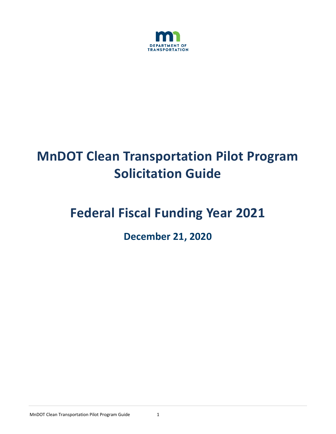

# **MnDOT Clean Transportation Pilot Program Solicitation Guide**

# **Federal Fiscal Funding Year 2021**

**December 21, 2020**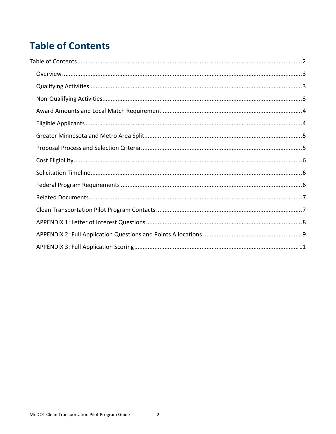## <span id="page-1-0"></span>**Table of Contents**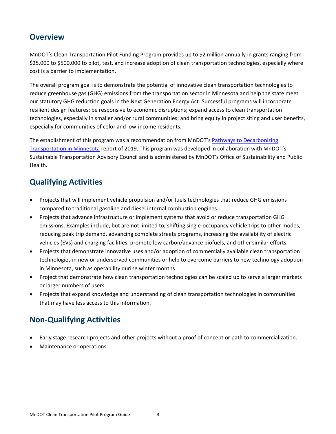## <span id="page-2-0"></span>**Overview**

MnDOT's Clean Transportation Pilot Funding Program provides up to \$2 million annually in grants ranging from \$25,000 to \$500,000 to pilot, test, and increase adoption of clean transportation technologies, especially where cost is a barrier to implementation.

The overall program goal is to demonstrate the potential of innovative clean transportation technologies to reduce greenhouse gas (GHG) emissions from the transportation sector in Minnesota and help the state meet our statutory GHG reduction goals in the Next Generation Energy Act. Successful programs will incorporate resilient design features; be responsive to economic disruptions; expand access to clean transportation technologies, especially in smaller and/or rural communities; and bring equity in project siting and user benefits, especially for communities of color and low-income residents.

The establishment of this program was a recommendation from MnDOT's Pathways [to Decarbonizing](https://www.dot.state.mn.us/sustainability/docs/pathways-report-2019.pdf)  [Transportation in Minnesota](https://www.dot.state.mn.us/sustainability/docs/pathways-report-2019.pdf) report of 2019. This program was developed in collaboration with MnDOT's Sustainable Transportation Advisory Council and is administered by MnDOT's Office of Sustainability and Public Health.

## <span id="page-2-1"></span>**Qualifying Activities**

- Projects that will implement vehicle propulsion and/or fuels technologies that reduce GHG emissions compared to traditional gasoline and diesel internal combustion engines.
- Projects that advance infrastructure or implement systems that avoid or reduce transportation GHG emissions. Examples include, but are not limited to, shifting single-occupancy vehicle trips to other modes, reducing peak trip demand, advancing complete streets programs, increasing the availability of electric vehicles (EVs) and charging facilities, promote low carbon/advance biofuels, and other similar efforts.
- Projects that demonstrate innovative uses and/or adoption of commercially available clean transportation technologies in new or underserved communities or help to overcome barriers to new technology adoption in Minnesota, such as operability during winter months
- Project that demonstrate how clean transportation technologies can be scaled up to serve a larger markets or larger numbers of users.
- Projects that expand knowledge and understanding of clean transportation technologies in communities that may have less access to this information.

## <span id="page-2-2"></span>**Non-Qualifying Activities**

- Early stage research projects and other projects without a proof of concept or path to commercialization.
- Maintenance or operations.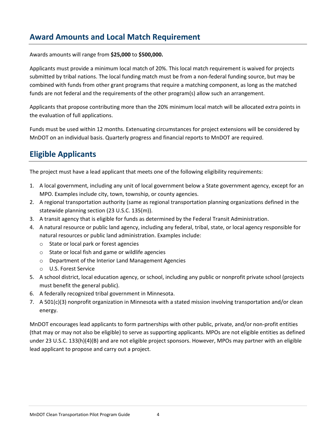## <span id="page-3-0"></span>**Award Amounts and Local Match Requirement**

Awards amounts will range from **\$25,000** to **\$500,000.**

Applicants must provide a minimum local match of 20%. This local match requirement is waived for projects submitted by tribal nations. The local funding match must be from a non-federal funding source, but may be combined with funds from other grant programs that require a matching component, as long as the matched funds are not federal and the requirements of the other program(s) allow such an arrangement.

Applicants that propose contributing more than the 20% minimum local match will be allocated extra points in the evaluation of full applications.

Funds must be used within 12 months. Extenuating circumstances for project extensions will be considered by MnDOT on an individual basis. Quarterly progress and financial reports to MnDOT are required.

## <span id="page-3-1"></span>**Eligible Applicants**

The project must have a lead applicant that meets one of the following eligibility requirements:

- 1. A local government, including any unit of local government below a State government agency, except for an MPO. Examples include city, town, township, or county agencies.
- 2. A regional transportation authority (same as regional transportation planning organizations defined in the statewide planning section (23 U.S.C. 135(m)).
- 3. A transit agency that is eligible for funds as determined by the Federal Transit Administration.
- 4. A natural resource or public land agency, including any federal, tribal, state, or local agency responsible for natural resources or public land administration. Examples include:
	- o State or local park or forest agencies
	- o State or local fish and game or wildlife agencies
	- o Department of the Interior Land Management Agencies
	- o U.S. Forest Service
- 5. A school district, local education agency, or school, including any public or nonprofit private school (projects must benefit the general public).
- 6. A federally recognized tribal government in Minnesota.
- 7. A 501(c)(3) nonprofit organization in Minnesota with a stated mission involving transportation and/or clean energy.

MnDOT encourages lead applicants to form partnerships with other public, private, and/or non-profit entities (that may or may not also be eligible) to serve as supporting applicants. MPOs are not eligible entities as defined under 23 U.S.C. 133(h)(4)(B) and are not eligible project sponsors. However, MPOs may partner with an eligible lead applicant to propose and carry out a project.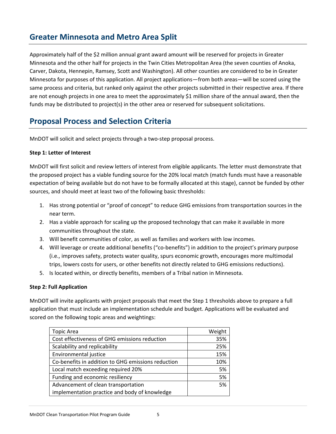## <span id="page-4-0"></span>**Greater Minnesota and Metro Area Split**

Approximately half of the \$2 million annual grant award amount will be reserved for projects in Greater Minnesota and the other half for projects in the Twin Cities Metropolitan Area (the seven counties of Anoka, Carver, Dakota, Hennepin, Ramsey, Scott and Washington). All other counties are considered to be in Greater Minnesota for purposes of this application. All project applications—from both areas—will be scored using the same process and criteria, but ranked only against the other projects submitted in their respective area. If there are not enough projects in one area to meet the approximately \$1 million share of the annual award, then the funds may be distributed to project(s) in the other area or reserved for subsequent solicitations.

#### <span id="page-4-1"></span>**Proposal Process and Selection Criteria**

MnDOT will solicit and select projects through a two-step proposal process.

#### **Step 1: Letter of Interest**

MnDOT will first solicit and review letters of interest from eligible applicants. The letter must demonstrate that the proposed project has a viable funding source for the 20% local match (match funds must have a reasonable expectation of being available but do not have to be formally allocated at this stage), cannot be funded by other sources, and should meet at least two of the following basic thresholds:

- 1. Has strong potential or "proof of concept" to reduce GHG emissions from transportation sources in the near term.
- 2. Has a viable approach for scaling up the proposed technology that can make it available in more communities throughout the state.
- 3. Will benefit communities of color, as well as families and workers with low incomes.
- 4. Will leverage or create additional benefits ("co-benefits") in addition to the project's primary purpose (i.e., improves safety, protects water quality, spurs economic growth, encourages more multimodal trips, lowers costs for users, or other benefits not directly related to GHG emissions reductions).
- 5. Is located within, or directly benefits, members of a Tribal nation in Minnesota.

#### **Step 2: Full Application**

MnDOT will invite applicants with project proposals that meet the Step 1 thresholds above to prepare a full application that must include an implementation schedule and budget. Applications will be evaluated and scored on the following topic areas and weightings:

| <b>Topic Area</b>                                  | Weight |
|----------------------------------------------------|--------|
| Cost effectiveness of GHG emissions reduction      | 35%    |
| Scalability and replicability                      | 25%    |
| Environmental justice                              | 15%    |
| Co-benefits in addition to GHG emissions reduction | 10%    |
| Local match exceeding required 20%                 | 5%     |
| Funding and economic resiliency                    | 5%     |
| Advancement of clean transportation                | 5%     |
| implementation practice and body of knowledge      |        |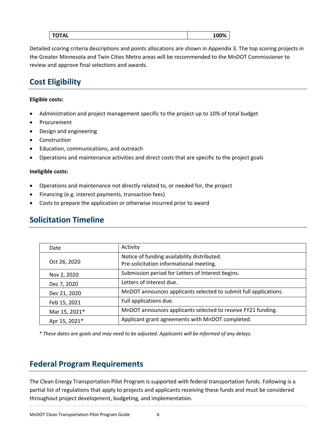|--|

Detailed scoring criteria descriptions and points allocations are shown in Appendix 3. The top scoring projects in the Greater Minnesota and Twin Cities Metro areas will be recommended to the MnDOT Commissioner to review and approve final selections and awards.

## <span id="page-5-0"></span>**Cost Eligibility**

#### **Eligible costs:**

- Administration and project management specific to the project up to 10% of total budget
- Procurement
- Design and engineering
- **Construction**
- Education, communications, and outreach
- Operations and maintenance activities and direct costs that are specific to the project goals

#### **Ineligible costs:**

- Operations and maintenance not directly related to, or needed for, the project
- Financing (e.g. interest payments, transaction fees)
- Costs to prepare the application or otherwise incurred prior to award

## <span id="page-5-1"></span>**Solicitation Timeline**

| Date          | Activity                                                                               |
|---------------|----------------------------------------------------------------------------------------|
| Oct 26, 2020  | Notice of funding availability distributed.<br>Pre-solicitation informational meeting. |
| Nov 2, 2020   | Submission period for Letters of Interest begins.                                      |
| Dec 7, 2020   | Letters of interest due.                                                               |
| Dec 21, 2020  | MnDOT announces applicants selected to submit full applications.                       |
| Feb 15, 2021  | Full applications due.                                                                 |
| Mar 15, 2021* | MnDOT announces applicants selected to receive FY21 funding.                           |
| Apr 15, 2021* | Applicant grant agreements with MnDOT completed.                                       |

*\* These dates are goals and may need to be adjusted. Applicants will be informed of any delays.*

## <span id="page-5-2"></span>**Federal Program Requirements**

The Clean Energy Transportation Pilot Program is supported with federal transportation funds. Following is a partial list of regulations that apply to projects and applicants receiving these funds and must be considered throughout project development, budgeting, and implementation.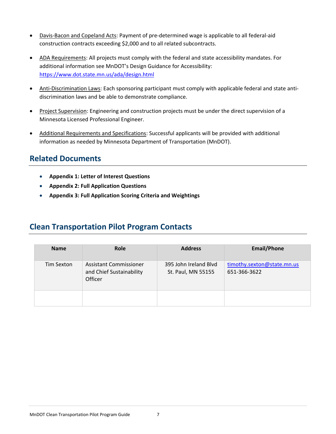- Davis-Bacon and Copeland Acts: Payment of pre-determined wage is applicable to all federal-aid construction contracts exceeding \$2,000 and to all related subcontracts.
- ADA Requirements: All projects must comply with the federal and state accessibility mandates. For additional information see MnDOT's Design Guidance for Accessibility: <https://www.dot.state.mn.us/ada/design.html>
- Anti-Discrimination Laws: Each sponsoring participant must comply with applicable federal and state antidiscrimination laws and be able to demonstrate compliance.
- Project Supervision: Engineering and construction projects must be under the direct supervision of a Minnesota Licensed Professional Engineer.
- Additional Requirements and Specifications: Successful applicants will be provided with additional information as needed by Minnesota Department of Transportation (MnDOT).

## <span id="page-6-0"></span>**Related Documents**

- **Appendix 1: Letter of Interest Questions**
- **Appendix 2: Full Application Questions**
- **Appendix 3: Full Application Scoring Criteria and Weightings**

## <span id="page-6-1"></span>**Clean Transportation Pilot Program Contacts**

| <b>Name</b> | Role                                                          | <b>Address</b>                              | <b>Email/Phone</b>                         |
|-------------|---------------------------------------------------------------|---------------------------------------------|--------------------------------------------|
| Tim Sexton  | Assistant Commissioner<br>and Chief Sustainability<br>Officer | 395 John Ireland Blvd<br>St. Paul, MN 55155 | timothy.sexton@state.mn.us<br>651-366-3622 |
|             |                                                               |                                             |                                            |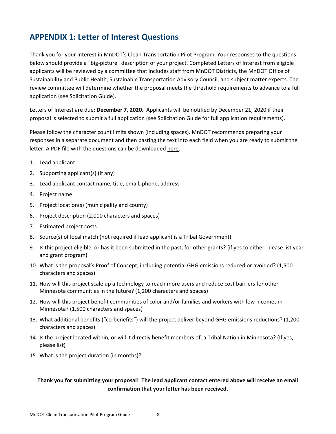## <span id="page-7-0"></span>**APPENDIX 1: Letter of Interest Questions**

Thank you for your interest in MnDOT's Clean Transportation Pilot Program. Your responses to the questions below should provide a "big-picture" description of your project. Completed Letters of Interest from eligible applicants will be reviewed by a committee that includes staff from MnDOT Districts, the MnDOT Office of Sustainability and Public Health, Sustainable Transportation Advisory Council, and subject matter experts. The review committee will determine whether the proposal meets the threshold requirements to advance to a full application (see Solicitation Guide).

Letters of Interest are due: **December 7, 2020.** Applicants will be notified by December 21, 2020 if their proposal is selected to submit a full application (see Solicitation Guide for full application requirements).

Please follow the character count limits shown (including spaces). MnDOT recommends preparing your responses in a separate document and then pasting the text into each field when you are ready to submit the letter. A PDF file with the questions can be downloaded here.

- 1. Lead applicant
- 2. Supporting applicant(s) (if any)
- 3. Lead applicant contact name, title, email, phone, address
- 4. Project name
- 5. Project location(s) (municipality and county)
- 6. Project description (2,000 characters and spaces)
- 7. Estimated project costs
- 8. Source(s) of local match (not required if lead applicant is a Tribal Government)
- 9. Is this project eligible, or has it been submitted in the past, for other grants? (if yes to either, please list year and grant program)
- 10. What is the proposal's Proof of Concept, including potential GHG emissions reduced or avoided? (1,500 characters and spaces)
- 11. How will this project scale up a technology to reach more users and reduce cost barriers for other Minnesota communities in the future? (1,200 characters and spaces)
- 12. How will this project benefit communities of color and/or families and workers with low incomes in Minnesota? (1,500 characters and spaces)
- 13. What additional benefits ("co-benefits") will the project deliver beyond GHG emissions reductions? (1,200 characters and spaces)
- 14. Is the project located within, or will it directly benefit members of, a Tribal Nation in Minnesota? (If yes, please list)
- 15. What is the project duration (in months)?

#### **Thank you for submitting your proposal! The lead applicant contact entered above will receive an email confirmation that your letter has been received.**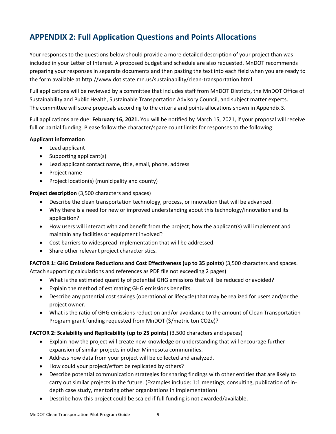## <span id="page-8-0"></span>**APPENDIX 2: Full Application Questions and Points Allocations**

Your responses to the questions below should provide a more detailed description of your project than was included in your Letter of Interest. A proposed budget and schedule are also requested. MnDOT recommends preparing your responses in separate documents and then pasting the text into each field when you are ready to the form available at http://www.dot.state.mn.us/sustainability/clean-transportation.html.

Full applications will be reviewed by a committee that includes staff from MnDOT Districts, the MnDOT Office of Sustainability and Public Health, Sustainable Transportation Advisory Council, and subject matter experts. The committee will score proposals according to the criteria and points allocations shown in Appendix 3.

Full applications are due: **February 16, 2021.** You will be notified by March 15, 2021, if your proposal will receive full or partial funding. Please follow the character/space count limits for responses to the following:

#### **Applicant information**

- Lead applicant
- Supporting applicant(s)
- Lead applicant contact name, title, email, phone, address
- Project name
- Project location(s) (municipality and county)

**Project description** (3,500 characters and spaces)

- Describe the clean transportation technology, process, or innovation that will be advanced.
- Why there is a need for new or improved understanding about this technology/innovation and its application?
- How users will interact with and benefit from the project; how the applicant(s) will implement and maintain any facilities or equipment involved?
- Cost barriers to widespread implementation that will be addressed.
- Share other relevant project characteristics.

**FACTOR 1: GHG Emissions Reductions and Cost Effectiveness (up to 35 points)** (3,500 characters and spaces.

Attach supporting calculations and references as PDF file not exceeding 2 pages)

- What is the estimated quantity of potential GHG emissions that will be reduced or avoided?
- Explain the method of estimating GHG emissions benefits.
- Describe any potential cost savings (operational or lifecycle) that may be realized for users and/or the project owner.
- What is the ratio of GHG emissions reduction and/or avoidance to the amount of Clean Transportation Program grant funding requested from MnDOT (\$/metric ton CO2e)?

#### **FACTOR 2: Scalability and Replicability (up to 25 points)** (3,500 characters and spaces)

- Explain how the project will create new knowledge or understanding that will encourage further expansion of similar projects in other Minnesota communities.
- Address how data from your project will be collected and analyzed.
- How could your project/effort be replicated by others?
- Describe potential communication strategies for sharing findings with other entities that are likely to carry out similar projects in the future. (Examples include: 1:1 meetings, consulting, publication of indepth case study, mentoring other organizations in implementation)
- Describe how this project could be scaled if full funding is not awarded/available.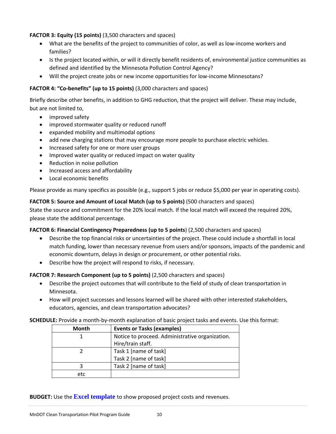#### **FACTOR 3: Equity (15 points)** (3,500 characters and spaces)

- What are the benefits of the project to communities of color, as well as low-income workers and families?
- Is the project located within, or will it directly benefit residents of, environmental justice communities as defined and identified by the Minnesota Pollution Control Agency?
- Will the project create jobs or new income opportunities for low-income Minnesotans?

#### **FACTOR 4: "Co-benefits" (up to 15 points)** (3,000 characters and spaces)

Briefly describe other benefits, in addition to GHG reduction, that the project will deliver. These may include, but are not limited to,

- improved safety
- improved stormwater quality or reduced runoff
- expanded mobility and multimodal options
- add new charging stations that may encourage more people to purchase electric vehicles.
- Increased safety for one or more user groups
- Improved water quality or reduced impact on water quality
- Reduction in noise pollution
- Increased access and affordability
- Local economic benefits

Please provide as many specifics as possible (e.g., support 5 jobs or reduce \$5,000 per year in operating costs).

**FACTOR 5: Source and Amount of Local Match (up to 5 points)** (500 characters and spaces)

State the source and commitment for the 20% local match. If the local match will exceed the required 20%, please state the additional percentage.

#### **FACTOR 6: Financial Contingency Preparedness (up to 5 points**) (2,500 characters and spaces)

- Describe the top financial risks or uncertainties of the project. These could include a shortfall in local match funding, lower than necessary revenue from users and/or sponsors, impacts of the pandemic and economic downturn, delays in design or procurement, or other potential risks.
- Describe how the project will respond to risks, if necessary.

#### **FACTOR 7: Research Component (up to 5 points)** (2,500 characters and spaces)

- Describe the project outcomes that will contribute to the field of study of clean transportation in Minnesota.
- How will project successes and lessons learned will be shared with other interested stakeholders, educators, agencies, and clean transportation advocates?

#### **SCHEDULE:** Provide a month-by-month explanation of basic project tasks and events. Use this format:

| Month | <b>Events or Tasks (examples)</b>               |
|-------|-------------------------------------------------|
|       | Notice to proceed. Administrative organization. |
|       | Hire/train staff.                               |
|       | Task 1 [name of task]                           |
|       | Task 2 [name of task]                           |
|       | Task 2 [name of task]                           |
| etc   |                                                 |

#### **BUDGET:** Use the **[Excel template](https://edocs-public.dot.state.mn.us/edocs_public/DMResultSet/download?docId=12243884)** to show proposed project costs and revenues.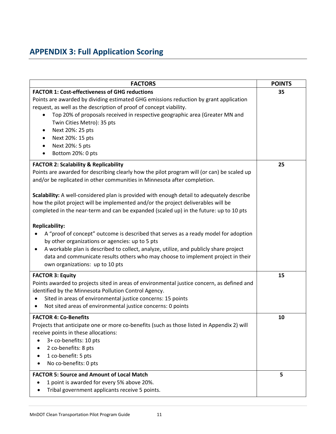## <span id="page-10-0"></span>**APPENDIX 3: Full Application Scoring**

| <b>FACTORS</b>                                                                                                                                                                                                                                                                                                                                                                                                                                                                                                                                                                                                                                                                                                                                                                                                                                                                                              | <b>POINTS</b> |
|-------------------------------------------------------------------------------------------------------------------------------------------------------------------------------------------------------------------------------------------------------------------------------------------------------------------------------------------------------------------------------------------------------------------------------------------------------------------------------------------------------------------------------------------------------------------------------------------------------------------------------------------------------------------------------------------------------------------------------------------------------------------------------------------------------------------------------------------------------------------------------------------------------------|---------------|
| <b>FACTOR 1: Cost-effectiveness of GHG reductions</b><br>Points are awarded by dividing estimated GHG emissions reduction by grant application<br>request, as well as the description of proof of concept viability.<br>Top 20% of proposals received in respective geographic area (Greater MN and<br>Twin Cities Metro): 35 pts<br>Next 20%: 25 pts<br>Next 20%: 15 pts<br>Next 20%: 5 pts<br>Bottom 20%: 0 pts                                                                                                                                                                                                                                                                                                                                                                                                                                                                                           | 35            |
| <b>FACTOR 2: Scalability &amp; Replicability</b><br>Points are awarded for describing clearly how the pilot program will (or can) be scaled up<br>and/or be replicated in other communities in Minnesota after completion.<br>Scalability: A well-considered plan is provided with enough detail to adequately describe<br>how the pilot project will be implemented and/or the project deliverables will be<br>completed in the near-term and can be expanded (scaled up) in the future: up to 10 pts<br><b>Replicability:</b><br>A "proof of concept" outcome is described that serves as a ready model for adoption<br>$\bullet$<br>by other organizations or agencies: up to 5 pts<br>A workable plan is described to collect, analyze, utilize, and publicly share project<br>٠<br>data and communicate results others who may choose to implement project in their<br>own organizations: up to 10 pts | 25            |
| <b>FACTOR 3: Equity</b><br>Points awarded to projects sited in areas of environmental justice concern, as defined and<br>identified by the Minnesota Pollution Control Agency.<br>Sited in areas of environmental justice concerns: 15 points<br>$\bullet$<br>Not sited areas of environmental justice concerns: 0 points<br>$\bullet$                                                                                                                                                                                                                                                                                                                                                                                                                                                                                                                                                                      | 15            |
| <b>FACTOR 4: Co-Benefits</b><br>Projects that anticipate one or more co-benefits (such as those listed in Appendix 2) will<br>receive points in these allocations:<br>3+ co-benefits: 10 pts<br>2 co-benefits: 8 pts<br>1 co-benefit: 5 pts<br>No co-benefits: 0 pts                                                                                                                                                                                                                                                                                                                                                                                                                                                                                                                                                                                                                                        | 10            |
| <b>FACTOR 5: Source and Amount of Local Match</b><br>1 point is awarded for every 5% above 20%.<br>Tribal government applicants receive 5 points.                                                                                                                                                                                                                                                                                                                                                                                                                                                                                                                                                                                                                                                                                                                                                           | 5             |